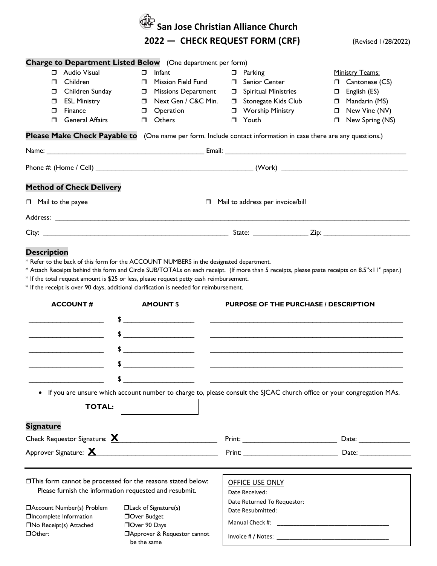|                                                                                                                                                                 |                                                                                                                                                                                                                | San Jose Christian Alliance Church                                                                                                                                                                                             |                                                                                                                                                                                                                               |
|-----------------------------------------------------------------------------------------------------------------------------------------------------------------|----------------------------------------------------------------------------------------------------------------------------------------------------------------------------------------------------------------|--------------------------------------------------------------------------------------------------------------------------------------------------------------------------------------------------------------------------------|-------------------------------------------------------------------------------------------------------------------------------------------------------------------------------------------------------------------------------|
|                                                                                                                                                                 |                                                                                                                                                                                                                | 2022 - CHECK REQUEST FORM (CRF)                                                                                                                                                                                                | (Revised 1/28/2022)                                                                                                                                                                                                           |
|                                                                                                                                                                 |                                                                                                                                                                                                                |                                                                                                                                                                                                                                |                                                                                                                                                                                                                               |
| Audio Visual<br>Π.<br>Children<br>$\Box$<br>Children Sunday<br>$\Box$<br><b>ESL Ministry</b><br>$\Box$<br>Finance<br>$\Box$<br><b>General Affairs</b><br>$\Box$ | <b>Charge to Department Listed Below</b> (One department per form)<br>Infant<br>$\Box$<br>□ Mission Field Fund<br><b>D</b> Missions Department<br>Next Gen / C&C Min.<br><b>D</b> Operation<br><b>D</b> Others | $\Box$ Parking<br><b>D</b> Senior Center<br><b>D</b> Spiritual Ministries<br><b>D</b> Stonegate Kids Club<br><b>D</b> Worship Ministry<br>□ Youth                                                                              | Ministry Teams:<br>Cantonese (CS)<br>$\Box$ English (ES)<br>Mandarin (MS)<br>$\Box$ New Vine (NV)<br>New Spring (NS)<br>0                                                                                                     |
|                                                                                                                                                                 | Please Make Check Payable to (One name per form. Include contact information in case there are any questions.)                                                                                                 |                                                                                                                                                                                                                                |                                                                                                                                                                                                                               |
|                                                                                                                                                                 |                                                                                                                                                                                                                |                                                                                                                                                                                                                                |                                                                                                                                                                                                                               |
|                                                                                                                                                                 |                                                                                                                                                                                                                |                                                                                                                                                                                                                                |                                                                                                                                                                                                                               |
| <b>Method of Check Delivery</b>                                                                                                                                 |                                                                                                                                                                                                                |                                                                                                                                                                                                                                |                                                                                                                                                                                                                               |
| $\Box$ Mail to the payee                                                                                                                                        |                                                                                                                                                                                                                | Mail to address per invoice/bill                                                                                                                                                                                               |                                                                                                                                                                                                                               |
|                                                                                                                                                                 |                                                                                                                                                                                                                |                                                                                                                                                                                                                                |                                                                                                                                                                                                                               |
|                                                                                                                                                                 |                                                                                                                                                                                                                |                                                                                                                                                                                                                                |                                                                                                                                                                                                                               |
| <b>ACCOUNT#</b>                                                                                                                                                 | * If the receipt is over 90 days, additional clarification is needed for reimbursement.<br><b>AMOUNT \$</b><br>\$<br>\$                                                                                        | <b>PURPOSE OF THE PURCHASE / DESCRIPTION</b>                                                                                                                                                                                   |                                                                                                                                                                                                                               |
|                                                                                                                                                                 | $\frac{1}{2}$<br>$\frac{1}{2}$                                                                                                                                                                                 | <u> 1999 - Johann John Stein, mars an deus Amerikaansk kommunister (</u>                                                                                                                                                       |                                                                                                                                                                                                                               |
| <b>TOTAL:</b>                                                                                                                                                   | \$<br>• If you are unsure which account number to charge to, please consult the SJCAC church office or your congregation MAs.                                                                                  |                                                                                                                                                                                                                                |                                                                                                                                                                                                                               |
| <b>Signature</b>                                                                                                                                                |                                                                                                                                                                                                                |                                                                                                                                                                                                                                |                                                                                                                                                                                                                               |
|                                                                                                                                                                 |                                                                                                                                                                                                                | $Print: ____________$                                                                                                                                                                                                          |                                                                                                                                                                                                                               |
|                                                                                                                                                                 |                                                                                                                                                                                                                | Print: Print: Print: Print: Print: Print: Print: Print: Print: Print: Print: Print: Print: Print: Print: Print: Print: Print: Print: Print: Print: Print: Print: Print: Print: Print: Print: Print: Print: Print: Print: Print | Date: and the state of the state of the state of the state of the state of the state of the state of the state of the state of the state of the state of the state of the state of the state of the state of the state of the |
|                                                                                                                                                                 | <b>This form cannot be processed for the reasons stated below:</b><br>Please furnish the information requested and resubmit.                                                                                   | OFFICE USE ONLY<br>Date Received:<br>Date Returned To Requestor:                                                                                                                                                               |                                                                                                                                                                                                                               |
| □ Account Number(s) Problem<br><b>OIncomplete Information</b><br>□No Receipt(s) Attached<br>DOther:                                                             | $\Box$ Lack of Signature(s)<br><b>DOver Budget</b><br>DOver 90 Days<br>□ Approver & Requestor cannot<br>be the same                                                                                            | Date Resubmitted:                                                                                                                                                                                                              |                                                                                                                                                                                                                               |